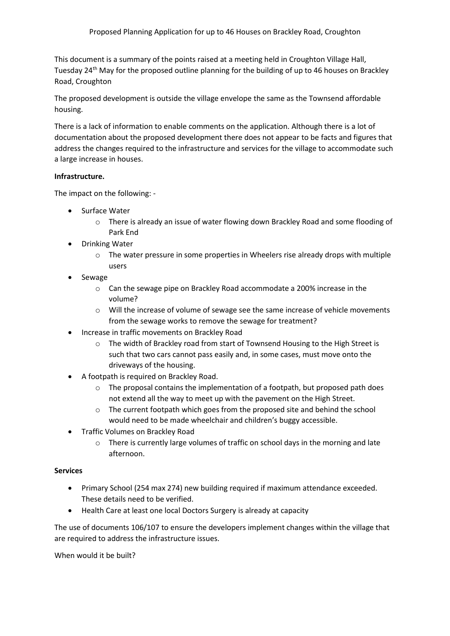This document is a summary of the points raised at a meeting held in Croughton Village Hall, Tuesday 24<sup>th</sup> May for the proposed outline planning for the building of up to 46 houses on Brackley Road, Croughton

The proposed development is outside the village envelope the same as the Townsend affordable housing.

There is a lack of information to enable comments on the application. Although there is a lot of documentation about the proposed development there does not appear to be facts and figures that address the changes required to the infrastructure and services for the village to accommodate such a large increase in houses.

## **Infrastructure.**

The impact on the following: -

- Surface Water
	- o There is already an issue of water flowing down Brackley Road and some flooding of Park End
- Drinking Water
	- $\circ$  The water pressure in some properties in Wheelers rise already drops with multiple users
- Sewage
	- o Can the sewage pipe on Brackley Road accommodate a 200% increase in the volume?
	- $\circ$  Will the increase of volume of sewage see the same increase of vehicle movements from the sewage works to remove the sewage for treatment?
- Increase in traffic movements on Brackley Road
	- $\circ$  The width of Brackley road from start of Townsend Housing to the High Street is such that two cars cannot pass easily and, in some cases, must move onto the driveways of the housing.
- A footpath is required on Brackley Road.
	- $\circ$  The proposal contains the implementation of a footpath, but proposed path does not extend all the way to meet up with the pavement on the High Street.
	- o The current footpath which goes from the proposed site and behind the school would need to be made wheelchair and children's buggy accessible.
- Traffic Volumes on Brackley Road
	- $\circ$  There is currently large volumes of traffic on school days in the morning and late afternoon.

## **Services**

- Primary School (254 max 274) new building required if maximum attendance exceeded. These details need to be verified.
- Health Care at least one local Doctors Surgery is already at capacity

The use of documents 106/107 to ensure the developers implement changes within the village that are required to address the infrastructure issues.

When would it be built?